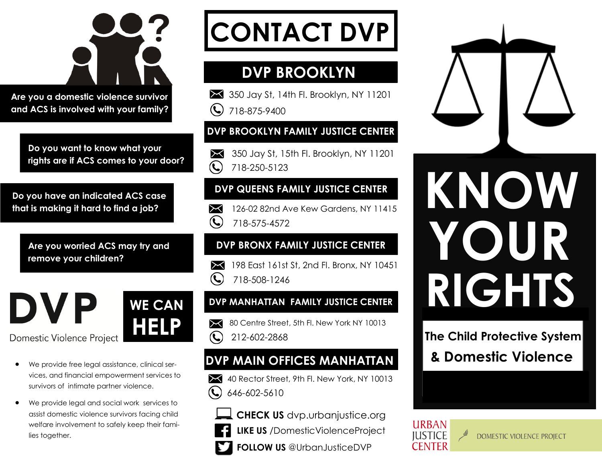

**Are you a domestic violence survivor and ACS is involved with your family?** 

> **Do you want to know what your rights are if ACS comes to your door?**

**Do you have an indicated ACS case that is making it hard to find a job?** 

> **Are you worried ACS may try and remove your children?**



- We provide free legal assistance, clinical services, and financial empowerment services to survivors of intimate partner violence.
- We provide legal and social work services to assist domestic violence survivors facing child welfare involvement to safely keep their families together.

# **CONTACT DVP**

# **DVP BROOKLYN**

350 Jay St, 14th Fl. Brooklyn, NY 11201  $\left(\bigcup_{718-875-9400}\right)$ 

### **DVP BROOKLYN FAMILY JUSTICE CENTER**

350 Jay St, 15th Fl. Brooklyn, NY 11201  $(\blacklozenge)$ 718-250-5123

### **DVP QUEENS FAMILY JUSTICE CENTER**

126-02 82nd Ave Kew Gardens, NY 11415  $\bowtie$  $\left( \right)$ 718-575-4572

### **DVP BRONX FAMILY JUSTICE CENTER**

198 East 161st St, 2nd Fl. Bronx, NY 10451  $(\blacklozenge)$ 718-508-1246

### **DVP MANHATTAN FAMILY JUSTICE CENTER**

80 Centre Street, 5th Fl. New York NY 10013 ᢂ  $\left($ 212-602-2868

### **DVP MAIN OFFICES MANHATTAN**

- 40 Rector Street, 9th Fl. New York, NY 10013 646-602-5610
	- **CHECK US** dvp.urbanjustice.org
	- **LIKE US** /DomesticViolenceProject
	- **FOLLOW US** @UrbanJusticeDVP



### **The Child Protective System**

**& Domestic Violence**